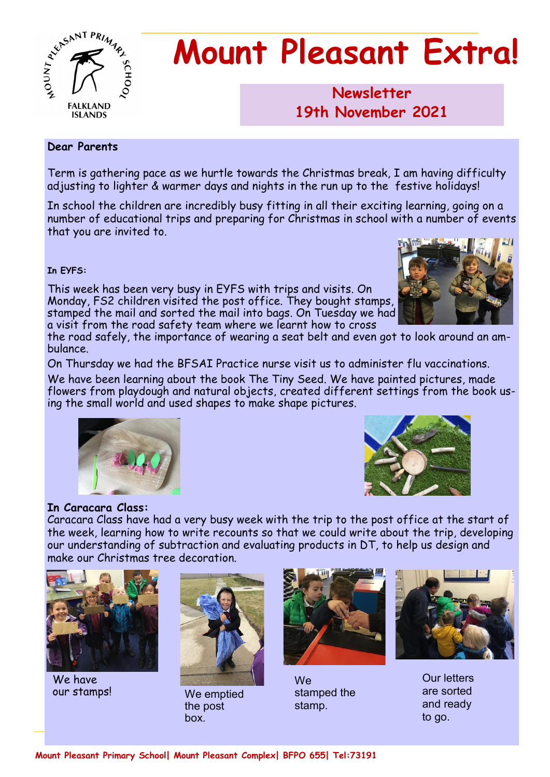

# **Mount Pleasant Extra!**

## **Newsletter 1986 19th November 2021**

#### **Dear Parents**

Term is gathering pace as we hurtle towards the Christmas break, I am having difficulty adjusting to lighter & warmer days and nights in the run up to the festive holidays!

In school the children are incredibly busy fitting in all their exciting learning, going on a number of educational trips and preparing for Christmas in school with a number of events that you are invited to.

#### **In EYFS:**

This week has been very busy in EYFS with trips and visits. On Monday, FS2 children visited the post office. They bought stamps, stamped the mail and sorted the mail into bags. On Tuesday we had a visit from the road safety team where we learnt how to cross



the road safely, the importance of wearing a seat belt and even got to look around an ambulance.

On Thursday we had the BFSAI Practice nurse visit us to administer flu vaccinations.

We have been learning about the book The Tiny Seed. We have painted pictures, made flowers from playdough and natural objects, created different settings from the book using the small world and used shapes to make shape pictures.





#### **In Caracara Class:**

Caracara Class have had a very busy week with the trip to the post office at the start of the week, learning how to write recounts so that we could write about the trip, developing our understanding of subtraction and evaluating products in DT, to help us design and make our Christmas tree decoration.



We have



our stamps! We emptied the post box.



**We** stamped the stamp.



Our letters are sorted and ready to go.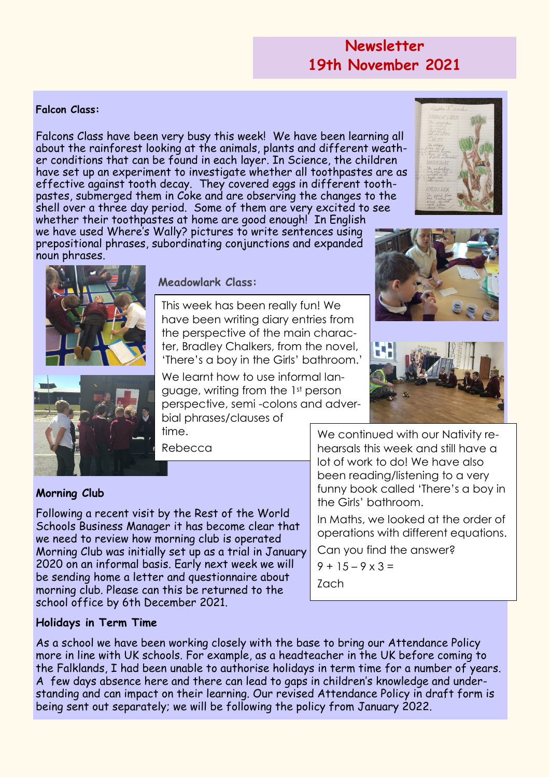## **Newsletter 19th November 2021**

#### **Falcon Class:**

Falcons Class have been very busy this week! We have been learning all about the rainforest looking at the animals, plants and different weather conditions that can be found in each layer. In Science, the children have set up an experiment to investigate whether all toothpastes are as effective against tooth decay. They covered eggs in different toothpastes, submerged them in Coke and are observing the changes to the shell over a three day period. Some of them are very excited to see whether their toothpastes at home are good enough! In English we have used Where's Wally? pictures to write sentences using prepositional phrases, subordinating conjunctions and expanded noun phrases.





#### **Meadowlark Class:**

This week has been really fun! We have been writing diary entries from the perspective of the main character, Bradley Chalkers, from the novel, 'There's a boy in the Girls' bathroom.'

We learnt how to use informal language, writing from the 1st person perspective, semi -colons and adverbial phrases/clauses of time.

Rebecca

#### **Morning Club**

Following a recent visit by the Rest of the World Schools Business Manager it has become clear that we need to review how morning club is operated Morning Club was initially set up as a trial in January 2020 on an informal basis. Early next week we will be sending home a letter and questionnaire about morning club. Please can this be returned to the school office by 6th December 2021.

#### **Holidays in Term Time**

As a school we have been working closely with the base to bring our Attendance Policy more in line with UK schools. For example, as a headteacher in the UK before coming to the Falklands, I had been unable to authorise holidays in term time for a number of years. A few days absence here and there can lead to gaps in children's knowledge and understanding and can impact on their learning. Our revised Attendance Policy in draft form is being sent out separately; we will be following the policy from January 2022.



We continued with our Nativity rehearsals this week and still have a lot of work to do! We have also been reading/listening to a very funny book called 'There's a boy in the Girls' bathroom.

In Maths, we looked at the order of operations with different equations.

Can you find the answer?

 $9 + 15 - 9 \times 3 =$ Zach